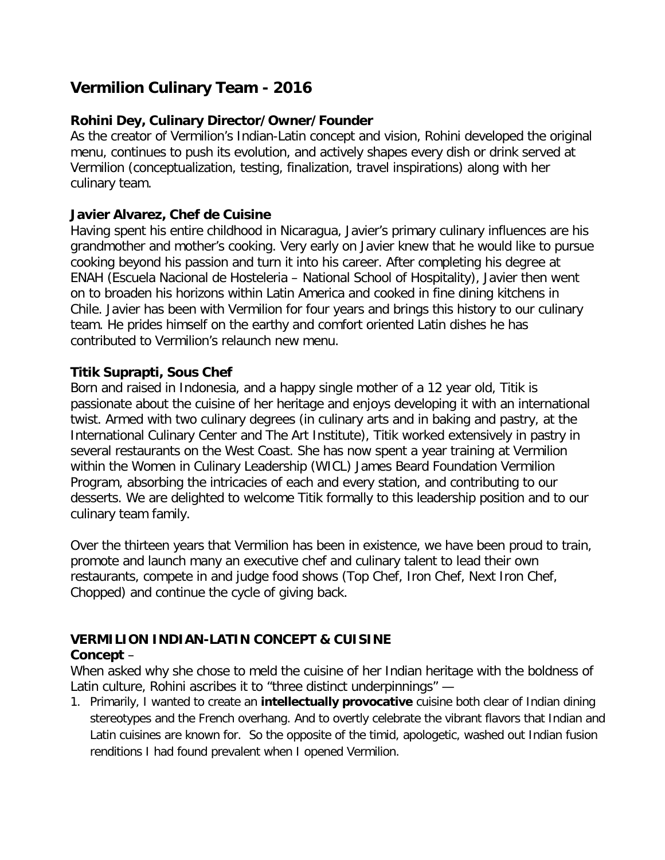# **Vermilion Culinary Team - 2016**

### **Rohini Dey, Culinary Director/Owner/Founder**

As the creator of Vermilion's Indian-Latin concept and vision, Rohini developed the original menu, continues to push its evolution, and actively shapes every dish or drink served at Vermilion (conceptualization, testing, finalization, travel inspirations) along with her culinary team.

### **Javier Alvarez, Chef de Cuisine**

Having spent his entire childhood in Nicaragua, Javier's primary culinary influences are his grandmother and mother's cooking. Very early on Javier knew that he would like to pursue cooking beyond his passion and turn it into his career. After completing his degree at ENAH (Escuela Nacional de Hosteleria – National School of Hospitality), Javier then went on to broaden his horizons within Latin America and cooked in fine dining kitchens in Chile. Javier has been with Vermilion for four years and brings this history to our culinary team. He prides himself on the earthy and comfort oriented Latin dishes he has contributed to Vermilion's relaunch new menu.

### **Titik Suprapti, Sous Chef**

Born and raised in Indonesia, and a happy single mother of a 12 year old, Titik is passionate about the cuisine of her heritage and enjoys developing it with an international twist. Armed with two culinary degrees (in culinary arts and in baking and pastry, at the International Culinary Center and The Art Institute), Titik worked extensively in pastry in several restaurants on the West Coast. She has now spent a year training at Vermilion within the Women in Culinary Leadership (WICL) James Beard Foundation Vermilion Program, absorbing the intricacies of each and every station, and contributing to our desserts. We are delighted to welcome Titik formally to this leadership position and to our culinary team family.

Over the thirteen years that Vermilion has been in existence, we have been proud to train, promote and launch many an executive chef and culinary talent to lead their own restaurants, compete in and judge food shows (Top Chef, Iron Chef, Next Iron Chef, Chopped) and continue the cycle of giving back.

## **VERMILION INDIAN-LATIN CONCEPT & CUISINE**

### **Concept** –

When asked why she chose to meld the cuisine of her Indian heritage with the boldness of Latin culture, Rohini ascribes it to "three distinct underpinnings" —

1. Primarily, I wanted to create an **intellectually provocative** cuisine both clear of Indian dining stereotypes and the French overhang. And to overtly celebrate the vibrant flavors that Indian and Latin cuisines are known for. So the opposite of the timid, apologetic, washed out Indian fusion renditions I had found prevalent when I opened Vermilion.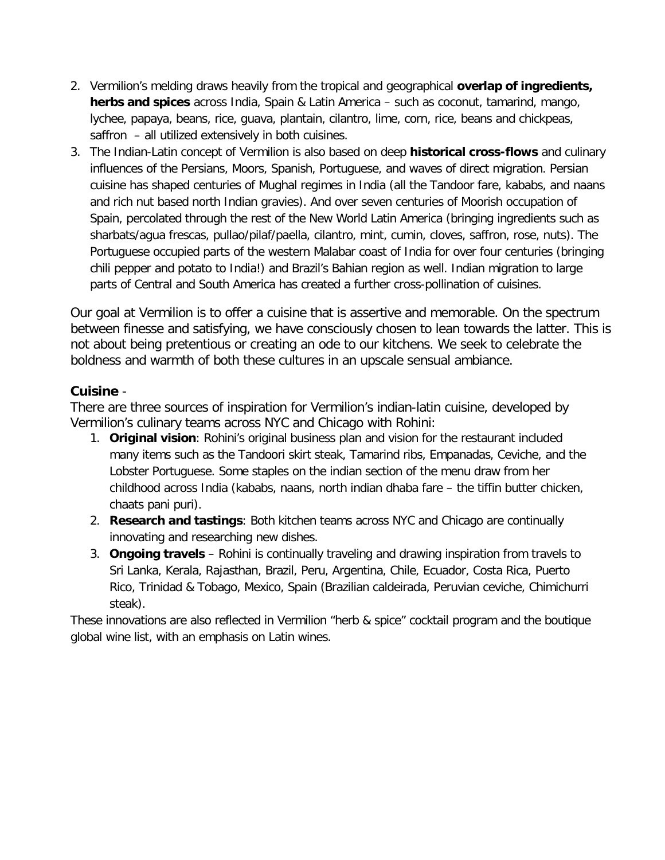- 2. Vermilion's melding draws heavily from the tropical and geographical **overlap of ingredients, herbs and spices** across India, Spain & Latin America – such as coconut, tamarind, mango, lychee, papaya, beans, rice, guava, plantain, cilantro, lime, corn, rice, beans and chickpeas, saffron – all utilized extensively in both cuisines.
- 3. The Indian-Latin concept of Vermilion is also based on deep **historical cross-flows** and culinary influences of the Persians, Moors, Spanish, Portuguese, and waves of direct migration. Persian cuisine has shaped centuries of Mughal regimes in India (all the Tandoor fare, kababs, and naans and rich nut based north Indian gravies). And over seven centuries of Moorish occupation of Spain, percolated through the rest of the New World Latin America (bringing ingredients such as sharbats/agua frescas, pullao/pilaf/paella, cilantro, mint, cumin, cloves, saffron, rose, nuts). The Portuguese occupied parts of the western Malabar coast of India for over four centuries (bringing chili pepper and potato to India!) and Brazil's Bahian region as well. Indian migration to large parts of Central and South America has created a further cross-pollination of cuisines.

Our goal at Vermilion is to offer a cuisine that is assertive and memorable. On the spectrum between finesse and satisfying, we have consciously chosen to lean towards the latter. This is not about being pretentious or creating an ode to our kitchens. We seek to celebrate the boldness and warmth of both these cultures in an upscale sensual ambiance.

### **Cuisine** -

There are three sources of inspiration for Vermilion's indian-latin cuisine, developed by Vermilion's culinary teams across NYC and Chicago with Rohini:

- 1. **Original vision**: Rohini's original business plan and vision for the restaurant included many items such as the Tandoori skirt steak, Tamarind ribs, Empanadas, Ceviche, and the Lobster Portuguese. Some staples on the indian section of the menu draw from her childhood across India (kababs, naans, north indian dhaba fare – the tiffin butter chicken, chaats pani puri).
- 2. **Research and tastings**: Both kitchen teams across NYC and Chicago are continually innovating and researching new dishes.
- 3. **Ongoing travels**  Rohini is continually traveling and drawing inspiration from travels to Sri Lanka, Kerala, Rajasthan, Brazil, Peru, Argentina, Chile, Ecuador, Costa Rica, Puerto Rico, Trinidad & Tobago, Mexico, Spain (Brazilian caldeirada, Peruvian ceviche, Chimichurri steak).

These innovations are also reflected in Vermilion "herb & spice" cocktail program and the boutique global wine list, with an emphasis on Latin wines.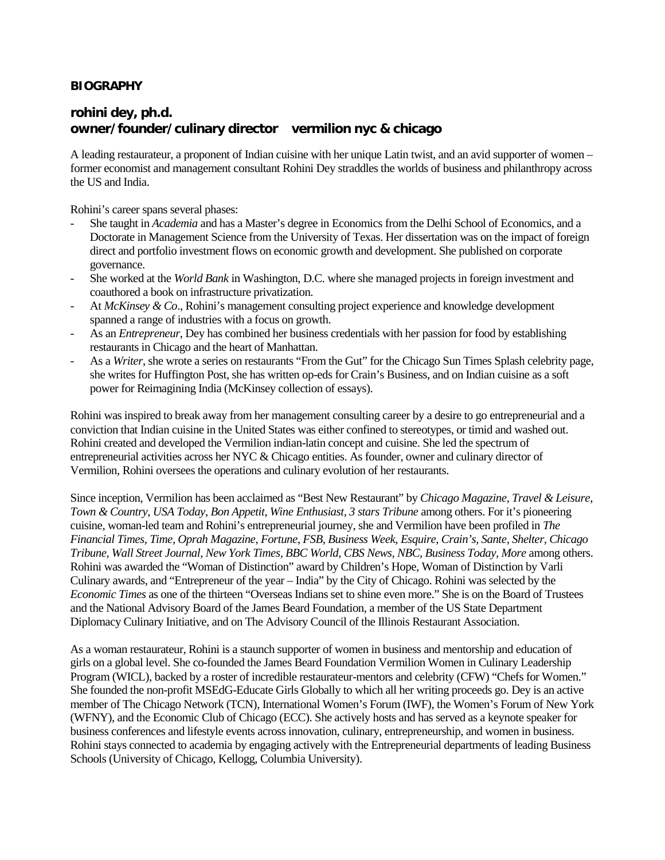#### **BIOGRAPHY**

#### **rohini dey, ph.d. owner/founder/culinary director vermilion nyc & chicago**

A leading restaurateur, a proponent of Indian cuisine with her unique Latin twist, and an avid supporter of women – former economist and management consultant Rohini Dey straddles the worlds of business and philanthropy across the US and India.

Rohini's career spans several phases:

- She taught in *Academia* and has a Master's degree in Economics from the Delhi School of Economics, and a Doctorate in Management Science from the University of Texas. Her dissertation was on the impact of foreign direct and portfolio investment flows on economic growth and development. She published on corporate governance.
- She worked at the *World Bank* in Washington, D.C. where she managed projects in foreign investment and coauthored a book on infrastructure privatization.
- At *McKinsey & Co*., Rohini's management consulting project experience and knowledge development spanned a range of industries with a focus on growth.
- As an *Entrepreneur*, Dey has combined her business credentials with her passion for food by establishing restaurants in Chicago and the heart of Manhattan.
- As a *Writer*, she wrote a series on restaurants "From the Gut" for the Chicago Sun Times Splash celebrity page, she writes for Huffington Post, she has written op-eds for Crain's Business, and on Indian cuisine as a soft power for Reimagining India (McKinsey collection of essays).

Rohini was inspired to break away from her management consulting career by a desire to go entrepreneurial and a conviction that Indian cuisine in the United States was either confined to stereotypes, or timid and washed out. Rohini created and developed the Vermilion indian-latin concept and cuisine. She led the spectrum of entrepreneurial activities across her NYC & Chicago entities. As founder, owner and culinary director of Vermilion, Rohini oversees the operations and culinary evolution of her restaurants.

Since inception, Vermilion has been acclaimed as "Best New Restaurant" by *Chicago Magazine*, *Travel & Leisure*, *Town & Country*, *USA Today*, *Bon Appetit*, *Wine Enthusiast, 3 stars Tribune* among others. For it's pioneering cuisine, woman-led team and Rohini's entrepreneurial journey, she and Vermilion have been profiled in *The Financial Times, Time, Oprah Magazine*, *Fortune*, *FSB*, *Business Week*, *Esquire*, *Crain's, Sante, Shelter, Chicago Tribune*, *Wall Street Journal*, *New York Times, BBC World, CBS News, NBC, Business Today, More* among others. Rohini was awarded the "Woman of Distinction" award by Children's Hope, Woman of Distinction by Varli Culinary awards, and "Entrepreneur of the year – India" by the City of Chicago. Rohini was selected by the *Economic Times* as one of the thirteen "Overseas Indians set to shine even more." She is on the Board of Trustees and the National Advisory Board of the James Beard Foundation, a member of the US State Department Diplomacy Culinary Initiative, and on The Advisory Council of the Illinois Restaurant Association.

As a woman restaurateur, Rohini is a staunch supporter of women in business and mentorship and education of girls on a global level. She co-founded the James Beard Foundation Vermilion Women in Culinary Leadership Program (WICL), backed by a roster of incredible restaurateur-mentors and celebrity (CFW) "Chefs for Women." She founded the non-profit MSEdG-Educate Girls Globally to which all her writing proceeds go. Dey is an active member of The Chicago Network (TCN), International Women's Forum (IWF), the Women's Forum of New York (WFNY), and the Economic Club of Chicago (ECC). She actively hosts and has served as a keynote speaker for business conferences and lifestyle events across innovation, culinary, entrepreneurship, and women in business. Rohini stays connected to academia by engaging actively with the Entrepreneurial departments of leading Business Schools (University of Chicago, Kellogg, Columbia University).